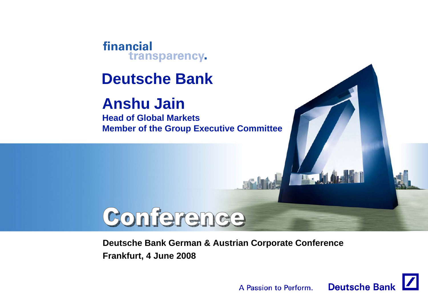financial transparency.

# **Deutsche Bank**

# **Anshu Jain**

**Head of Global MarketsMember of the Group Executive Committee**

# Conference

#### **Deutsche Bank German & Austrian Corporate Conference Frankfurt, 4 June 2008**



**IT.**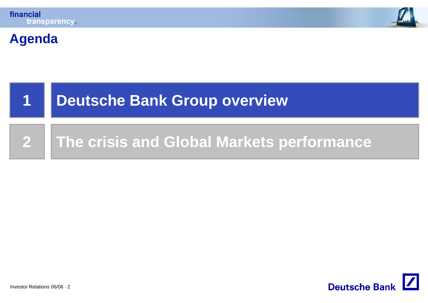



#### **Agenda**



#### **2The crisis and Global Markets performance**

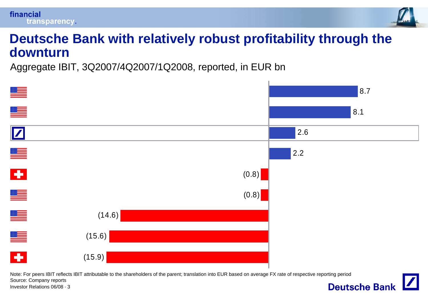



#### **Deutsche Bank with relatively robust profitability through the downturn**

Aggregate IBIT, 3Q2007/4Q2007/1Q2008, reported, in EUR bn



Note: For peers IBIT reflects IBIT attributable to the shareholders of the parent; translation into EUR based on average FX rate of respective reporting period Source: Company reports **Deutsche Bank** 

Investor Relations 06/08 · 3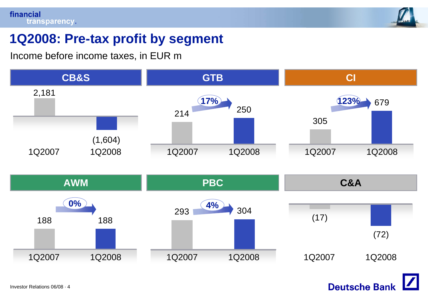

# **1Q2008: Pre-tax profit by segment**

Income before income taxes, in EUR m

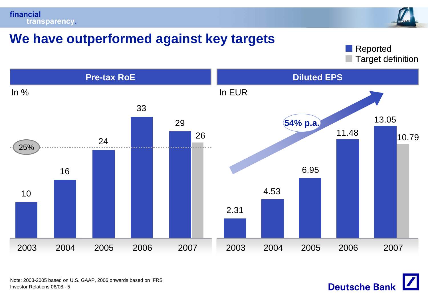



# **We have outperformed against key targets**

Target definition Reported



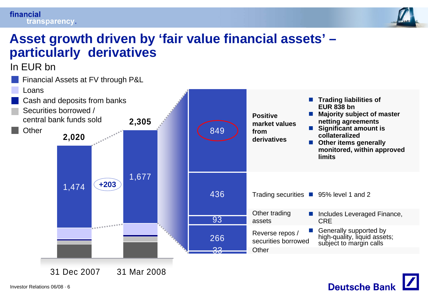#### financial transparency.



**Deutsche Bank** 

### **Asset growth driven by 'fair value financial assets' – particularly derivatives**

In EUR bn

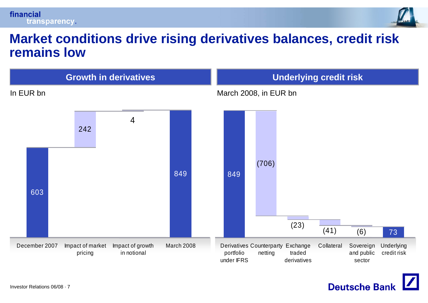

### **Market conditions drive rising derivatives balances, credit risk remains low**



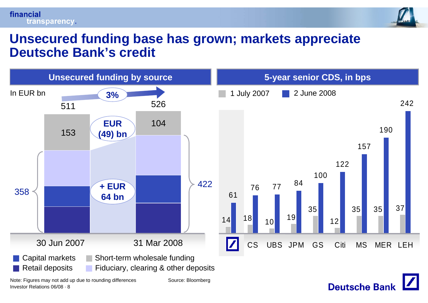#### financial transparency.



**Deutsche Bank** 

#### **Unsecured funding base has grown; markets appreciate Deutsche Bank's credit**



Investor Relations 06/08 · 8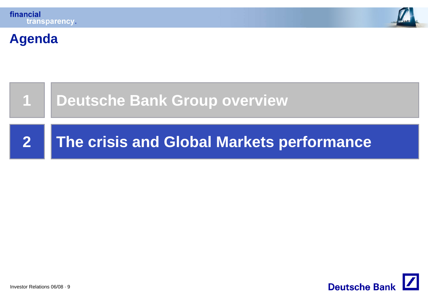





**Agenda**

# **Deutsche Bank Group overview**

#### **2The crisis and Global Markets performance**

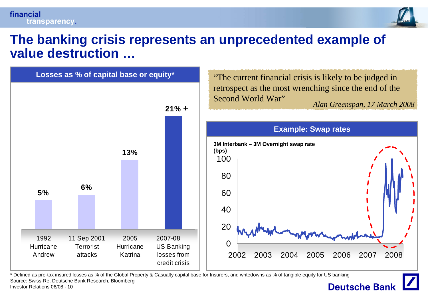

### **The banking crisis represents an unprecedented example of value destruction …**



\* Defined as pre-tax insured losses as % of the Global Property & Casualty capital base for Insurers, and writedowns as % of tangible equity for US banking Source: Swiss-Re, Deutsche Bank Research, Bloomberg

### **Deutsche Bank**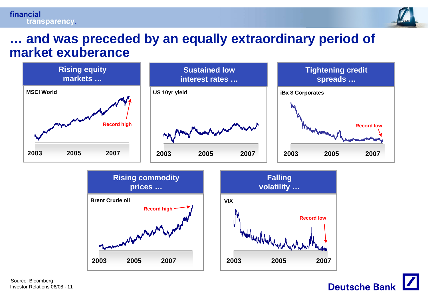#### financial transparency.



#### **… and was preceded by an equally extraordinary period of market exuberance**







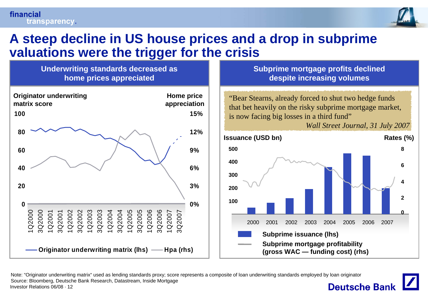

### **A steep decline in US house prices and a drop in subprime valuations were the trigger for the crisis**

**Underwriting standards decreased as home prices appreciated**



**Subprime mortgage profits declined despite increasing volumes**

**appreciation** "Bear Stearns, already forced to shut two hedge funds that bet heavily on the risky subprime mortgage market, is now facing big losses in a third fund"





Note: "Originator underwriting matrix" used as lending standards proxy; score represents a composite of loan underwriting standards employed by loan originator Source: Bloomberg, Deutsche Bank Research, Datastream, Inside Mortgage **Deutsche Bank** Investor Relations 06/08 · 12

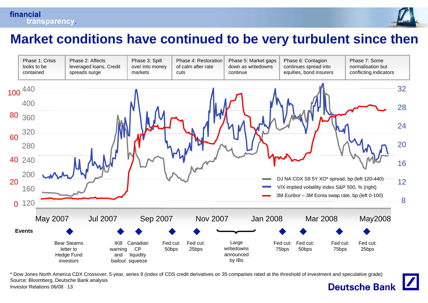



### **Market conditions have continued to be very turbulent since then**



\* Dow Jones North America CDX Crossover, 5-year, series 9 (index of CDS credit derivatives on 35 companies rated at the threshold of investment and speculative grade) Source: Bloomberg, Deutsche Bank analysis **Deutsche Bank** Investor Relations 06/08 · 13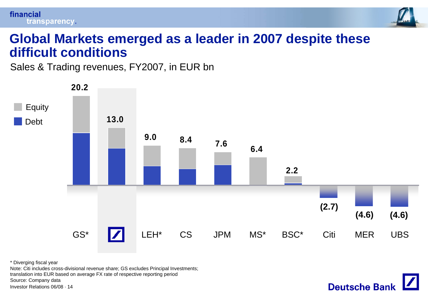

**Deutsche Bank** 

#### **Global Markets emerged as a leader in 2007 despite these difficult conditions**

Sales & Trading revenues, FY2007, in EUR bn



\* Diverging fiscal year

Note: Citi includes cross-divisional revenue share; GS excludes Principal Investments; translation into EUR based on average FX rate of respective reporting period Source: Company data

Investor Relations 06/08 · 14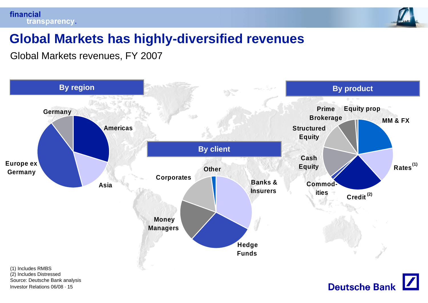



# **Global Markets has highly-diversified revenues**

Global Markets revenues, FY 2007

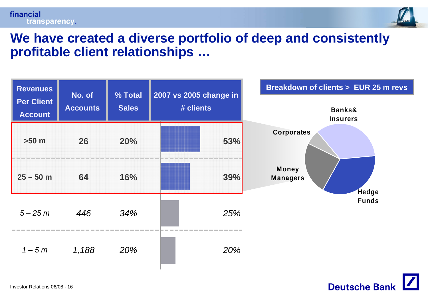



#### **We have created a diverse portfolio of deep and consistently profitable client relationships …**



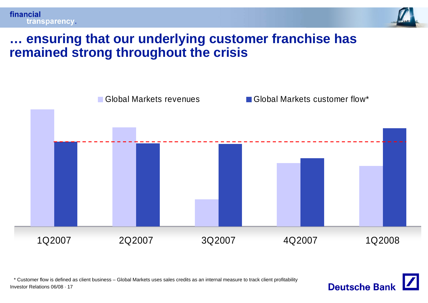

**Deutsche Bank** 

### **… ensuring that our underlying customer franchise has remained strong throughout the crisis**



\* Customer flow is defined as client business – Global Markets uses sales credits as an internal measure to track client profitability

Investor Relations 06/08 · 17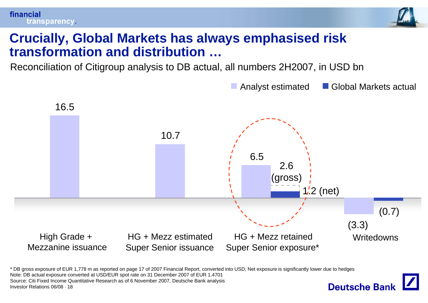



### **Crucially, Global Markets has always emphasised risk transformation and distribution …**

Reconciliation of Citigroup analysis to DB actual, all numbers 2H2007, in USD bn



\* DB gross exposure of EUR 1,778 m as reported on page 17 of 2007 Financial Report, converted into USD; Net exposure is significantly lower due to hedges Note: DB actual exposure converted at USD/EUR spot rate on 31 December 2007 of EUR 1.4701 Source: Citi Fixed Income Quantitative Research as of 6 November 2007, Deutsche Bank analysis **Deutsche Banl** Investor Relations 06/08 · 18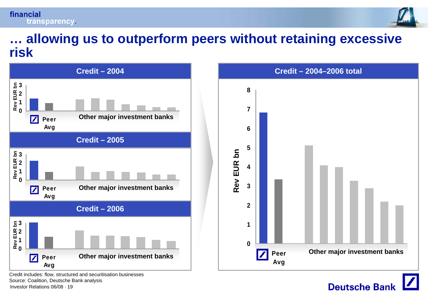



#### **… allowing us to outperform peers without retaining excessive risk**





Investor Relations 06/08 · 19Credit includes: flow, structured and securitisation businesses Source: Coalition, Deutsche Bank analysis

**Deutsche Bank**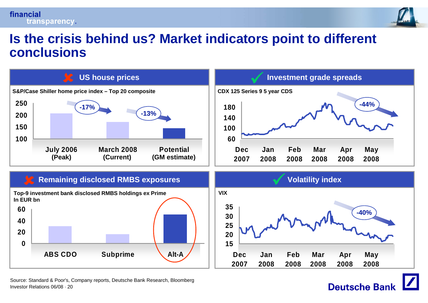#### financial transparency.



**Deutsche Bank** 

#### **Is the crisis behind us? Market indicators point to different conclusions**



Investor Relations 06/08 · 20Source: Standard & Poor's, Company reports, Deutsche Bank Research, Bloomberg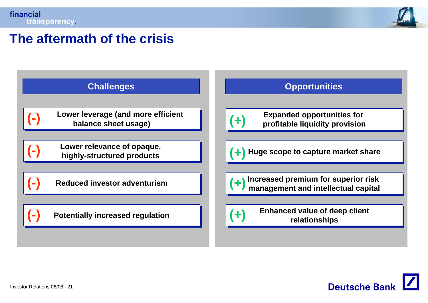

### **The aftermath of the crisis**



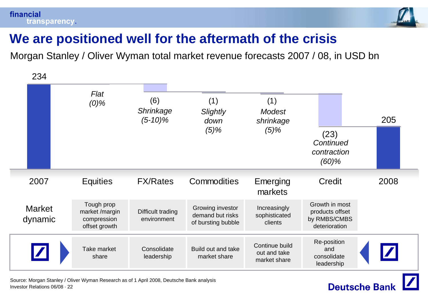

**Deutsche Bank** 

# **We are positioned well for the aftermath of the crisis**

Morgan Stanley / Oliver Wyman total market revenue forecasts 2007 / 08, in USD bn



Investor Relations 06/08 · 22Source: Morgan Stanley / Oliver Wyman Research as of 1 April 2008, Deutsche Bank analysis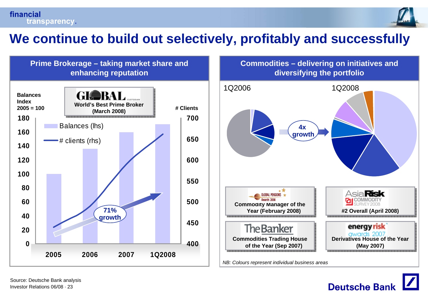

# **We continue to build out selectively, profitably and successfully**





*NB: Colours represent individual business areas*

![](_page_22_Picture_6.jpeg)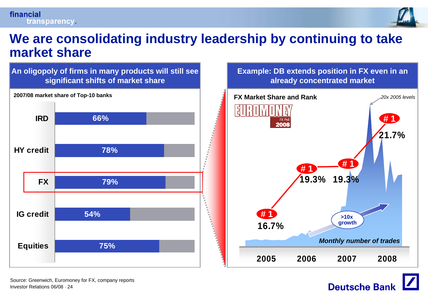![](_page_23_Picture_0.jpeg)

![](_page_23_Picture_1.jpeg)

#### **We are consolidating industry leadership by continuing to take market share**

![](_page_23_Figure_3.jpeg)

![](_page_23_Figure_4.jpeg)

**Deutsche Bank**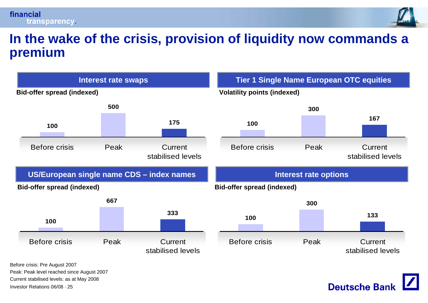![](_page_24_Picture_0.jpeg)

![](_page_24_Picture_1.jpeg)

**Deutsche Bank** 

#### **In the wake of the crisis, provision of liquidity now commands a premium**

![](_page_24_Figure_3.jpeg)

Investor Relations 06/08 · 25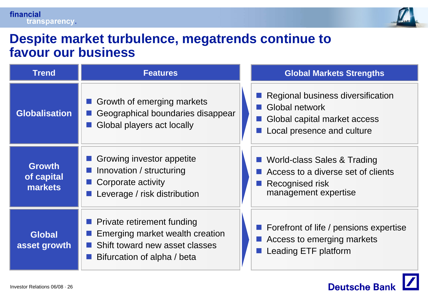![](_page_25_Picture_1.jpeg)

#### **Despite market turbulence, megatrends continue to favour our business**

| <b>Trend</b>                                  | <b>Features</b>                                                                                                                       | <b>Global Markets Strengths</b>                                                                                     |
|-----------------------------------------------|---------------------------------------------------------------------------------------------------------------------------------------|---------------------------------------------------------------------------------------------------------------------|
| <b>Globalisation</b>                          | Growth of emerging markets<br>Geographical boundaries disappear<br>Global players act locally                                         | Regional business diversification<br>■ Global network<br>Global capital market access<br>Local presence and culture |
| <b>Growth</b><br>of capital<br><b>markets</b> | Growing investor appetite<br>Innovation / structuring<br>Corporate activity<br>Leverage / risk distribution                           | ■ World-class Sales & Trading<br>Access to a diverse set of clients<br>Recognised risk<br>management expertise      |
| <b>Global</b><br>asset growth                 | <b>Private retirement funding</b><br>Emerging market wealth creation<br>Shift toward new asset classes<br>Bifurcation of alpha / beta | ■ Forefront of life / pensions expertise<br>Access to emerging markets<br>Leading ETF platform                      |